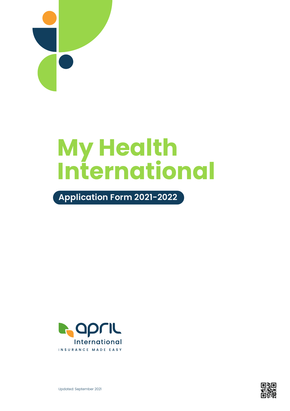

# **My Health International**

**Application Form 2021-2022**





Updated: September 2021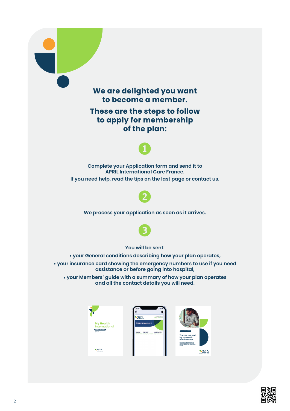

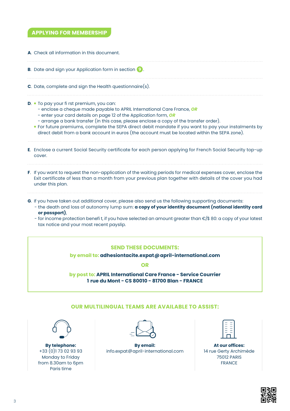# **APPLYING FOR MEMBERSHIP**

| A. Check all information in this document.                                                                                                                                                                                                                                                                                                                                                                                                                                                                                                                                                                     |
|----------------------------------------------------------------------------------------------------------------------------------------------------------------------------------------------------------------------------------------------------------------------------------------------------------------------------------------------------------------------------------------------------------------------------------------------------------------------------------------------------------------------------------------------------------------------------------------------------------------|
| <b>B.</b> Date and sign your Application form in section 9.                                                                                                                                                                                                                                                                                                                                                                                                                                                                                                                                                    |
| <b>C.</b> Date, complete and sign the Health questionnaire(s).                                                                                                                                                                                                                                                                                                                                                                                                                                                                                                                                                 |
| <b>D.</b> To pay your fi rst premium, you can:<br>- enclose a cheque made payable to APRIL International Care France, OR<br>- enter your card details on page 12 of the Application form, OR<br>- arrange a bank transfer (in this case, please enclose a copy of the transfer order).<br>• For future premiums, complete the SEPA direct debit mandate if you want to pay your instalments by<br>direct debit from a bank account in euros (the account must be located within the SEPA zone).<br>E. Enclose a current Social Security certificate for each person applying for French Social Security top-up |
| cover.                                                                                                                                                                                                                                                                                                                                                                                                                                                                                                                                                                                                         |
| F. If you want to request the non-application of the waiting periods for medical expenses cover, enclose the<br>Exit certificate of less than a month from your previous plan together with details of the cover you had<br>under this plan.                                                                                                                                                                                                                                                                                                                                                                   |
| G. If you have taken out additional cover, please also send us the following supporting documents:<br>- the death and loss of autonomy lump sum: a copy of your identity document (national identity card<br>or passport),<br>- for income protection benefit, if you have selected an amount greater than €/\$ 80: a copy of your latest<br>tax notice and your most recent payslip.                                                                                                                                                                                                                          |

### **SEND THESE DOCUMENTS:**

**by email to: adhesiontacite.expat@april-international.com**

**OR**

**by post to: APRIL International Care France - Service Courrier 1 rue du Mont - CS 80010 - 81700 Blan - FRANCE**

## **OUR MULTILINGUAL TEAMS ARE AVAILABLE TO ASSIST:**

**By telephone:** +33 (0)1 73 02 93 93 Monday to Friday from 8.30am to 6pm Paris time



**By email:** info.expat@april-international.com

| ٠ |  |
|---|--|
|   |  |
|   |  |
|   |  |
|   |  |

**At our offices:** 14 rue Gerty Archimède 75012 PARIS FRANCE

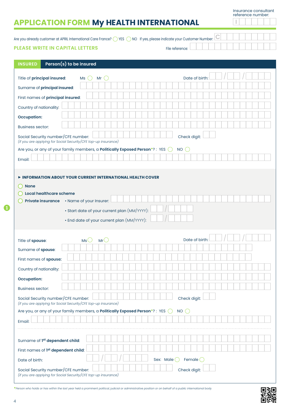Insurance consultant

|                                                                                                                                                      |                                            |                                                     |              |                        | reference number: |
|------------------------------------------------------------------------------------------------------------------------------------------------------|--------------------------------------------|-----------------------------------------------------|--------------|------------------------|-------------------|
| <b>APPLICATION FORM My HEALTH INTERNATIONAL</b>                                                                                                      |                                            |                                                     |              |                        |                   |
| Are you already customer at APRIL International Care France? $\bigcirc$ YES $\bigcirc$ NO If yes, please indicate your Customer Number. $\mathsf{I}$ |                                            |                                                     |              |                        |                   |
| <b>PLEASE WRITE IN CAPITAL LETTERS</b>                                                                                                               |                                            |                                                     |              | File reference:        |                   |
|                                                                                                                                                      |                                            |                                                     |              |                        |                   |
| <b>INSURED</b>                                                                                                                                       | Person(s) to be insured                    |                                                     |              |                        |                   |
| Title of principal insured:                                                                                                                          | <b>Ms</b>                                  | Mr<br>$\left( \begin{array}{c} \end{array} \right)$ |              | Date of birth          |                   |
| Surname of principal insured:                                                                                                                        |                                            |                                                     |              |                        |                   |
| First names of principal insured:                                                                                                                    |                                            |                                                     |              |                        |                   |
|                                                                                                                                                      |                                            |                                                     |              |                        |                   |
| Country of nationality:                                                                                                                              |                                            |                                                     |              |                        |                   |
| <b>Occupation:</b>                                                                                                                                   |                                            |                                                     |              |                        |                   |
| <b>Business sector:</b>                                                                                                                              |                                            |                                                     |              |                        |                   |
| Social Security number/CFE number:<br>(if you are applying for Social Security/CFE top-up insurance)                                                 |                                            |                                                     |              | Check digit:           |                   |
| Are you, or any of your family members, a Politically Exposed Person*?: YES (                                                                        |                                            |                                                     |              | $\bigcap$<br><b>NO</b> |                   |
| Email:                                                                                                                                               |                                            |                                                     |              |                        |                   |
|                                                                                                                                                      | • End date of your current plan (MM/YYYY): |                                                     |              |                        |                   |
| Title of spouse:                                                                                                                                     | Ms'                                        | MrC                                                 |              | Date of birth          |                   |
| Surname of spouse:                                                                                                                                   |                                            |                                                     |              |                        |                   |
| First names of spouse:                                                                                                                               |                                            |                                                     |              |                        |                   |
| Country of nationality:                                                                                                                              |                                            |                                                     |              |                        |                   |
| <b>Occupation:</b>                                                                                                                                   |                                            |                                                     |              |                        |                   |
| <b>Business sector:</b>                                                                                                                              |                                            |                                                     |              |                        |                   |
| Social Security number/CFE number:<br>(if you are applying for Social Security/CFE top-up insurance)                                                 |                                            |                                                     |              | Check digit:           |                   |
| Are you, or any of your family members, a Politically Exposed Person*?: YES O                                                                        |                                            |                                                     |              | NO                     |                   |
| Email:                                                                                                                                               |                                            |                                                     |              |                        |                   |
|                                                                                                                                                      |                                            |                                                     |              |                        |                   |
| Surname of 1 <sup>st</sup> dependent child:                                                                                                          |                                            |                                                     |              |                        |                   |
| First names of 1st dependent child:                                                                                                                  |                                            |                                                     |              |                        |                   |
| Date of birth:                                                                                                                                       |                                            |                                                     | Sex: Male () | Female (               |                   |
| Social Security number/CFE number:                                                                                                                   |                                            |                                                     |              | Check digit:           |                   |

*(if you are applying for Social Security/CFE top-up insurance)*

**\****Person who holds or has within the last year held a prominent political, judicial or administrative position or on behalf of a public international body.*

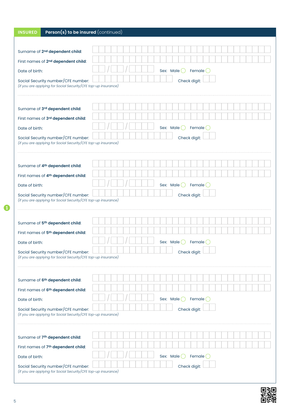| Person(s) to be insured (continued)<br><b>INSURED</b>                                                |                                           |  |  |  |  |  |  |  |
|------------------------------------------------------------------------------------------------------|-------------------------------------------|--|--|--|--|--|--|--|
|                                                                                                      |                                           |  |  |  |  |  |  |  |
| Surname of 2 <sup>nd</sup> dependent child:                                                          |                                           |  |  |  |  |  |  |  |
| First names of 2nd dependent child:                                                                  |                                           |  |  |  |  |  |  |  |
| Date of birth:                                                                                       | Sex: Male $\bigcirc$ Female $\bigcirc$    |  |  |  |  |  |  |  |
| Social Security number/CFE number:                                                                   | Check digit:                              |  |  |  |  |  |  |  |
| (if you are applying for Social Security/CFE top-up insurance)                                       |                                           |  |  |  |  |  |  |  |
|                                                                                                      |                                           |  |  |  |  |  |  |  |
| Surname of 3rd dependent child:                                                                      |                                           |  |  |  |  |  |  |  |
| First names of 3rd dependent child:                                                                  |                                           |  |  |  |  |  |  |  |
| Date of birth:                                                                                       | Sex: Male $\bigcirc$ Female $\bigcirc$    |  |  |  |  |  |  |  |
| Social Security number/CFE number:<br>(if you are applying for Social Security/CFE top-up insurance) | Check digit:                              |  |  |  |  |  |  |  |
|                                                                                                      |                                           |  |  |  |  |  |  |  |
|                                                                                                      |                                           |  |  |  |  |  |  |  |
| Surname of 4th dependent child:                                                                      |                                           |  |  |  |  |  |  |  |
| First names of 4th dependent child:                                                                  |                                           |  |  |  |  |  |  |  |
| Date of birth:                                                                                       | Sex: Male   Female                        |  |  |  |  |  |  |  |
| Social Security number/CFE number:<br>(if you are applying for Social Security/CFE top-up insurance) | Check digit:                              |  |  |  |  |  |  |  |
|                                                                                                      |                                           |  |  |  |  |  |  |  |
|                                                                                                      |                                           |  |  |  |  |  |  |  |
| Surname of 5th dependent child:                                                                      |                                           |  |  |  |  |  |  |  |
| First names of 5th dependent child:                                                                  |                                           |  |  |  |  |  |  |  |
| Date of birth:                                                                                       | Female<br>Sex: Male                       |  |  |  |  |  |  |  |
| Social Security number/CFE number:<br>(if you are applying for Social Security/CFE top-up insurance) | Check digit:                              |  |  |  |  |  |  |  |
|                                                                                                      |                                           |  |  |  |  |  |  |  |
|                                                                                                      |                                           |  |  |  |  |  |  |  |
| Surname of 6th dependent child:                                                                      |                                           |  |  |  |  |  |  |  |
| First names of 6th dependent child:                                                                  |                                           |  |  |  |  |  |  |  |
| Date of birth:                                                                                       | Sex: Male $\bigcirc$<br>Female $\bigcirc$ |  |  |  |  |  |  |  |
| Social Security number/CFE number:<br>(if you are applying for Social Security/CFE top-up insurance) | Check digit:                              |  |  |  |  |  |  |  |
|                                                                                                      |                                           |  |  |  |  |  |  |  |
|                                                                                                      |                                           |  |  |  |  |  |  |  |
| Surname of 7 <sup>th</sup> dependent child:                                                          |                                           |  |  |  |  |  |  |  |
| First names of 7th dependent child:                                                                  |                                           |  |  |  |  |  |  |  |
| Date of birth:                                                                                       | Sex: Male $\bigcirc$<br>Female $\bigcirc$ |  |  |  |  |  |  |  |
| Social Security number/CFE number:<br>(if you are applying for Social Security/CFE top-up insurance) | Check digit:                              |  |  |  |  |  |  |  |



 $\bullet$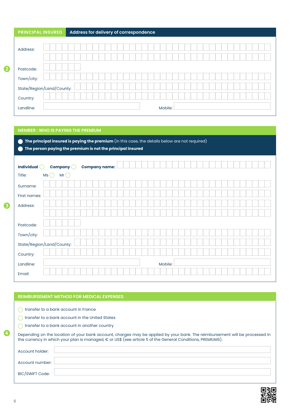| <b>PRINCIPAL INSURED</b> |                           | Address for delivery of correspondence |  |         |  |  |
|--------------------------|---------------------------|----------------------------------------|--|---------|--|--|
| Address:                 |                           |                                        |  |         |  |  |
| Postcode:<br>Town/city:  |                           |                                        |  |         |  |  |
|                          | State/Region/Land/County: |                                        |  |         |  |  |
| Country:<br>Landline:    |                           |                                        |  | Mobile: |  |  |

#### **MEMBER : WHO IS PAYING THE PREMIUM**

2

3

 **The principal insured is paying the premium** (in this case, the details below are not required) **The person paying the premium is not the principal insured**

| Individual $\bigcirc$ | Company $\bigcirc$<br><b>Company name:</b> |  |         |  |
|-----------------------|--------------------------------------------|--|---------|--|
| Title:                | Mr $\bigcirc$<br>MS(                       |  |         |  |
| Surname:              |                                            |  |         |  |
| First names:          |                                            |  |         |  |
| Address:              |                                            |  |         |  |
|                       |                                            |  |         |  |
| Postcode:             |                                            |  |         |  |
| Town/city:            |                                            |  |         |  |
|                       | State/Region/Land/County:                  |  |         |  |
| Country:              |                                            |  |         |  |
| Landline:             |                                            |  | Mobile: |  |
| Email:                |                                            |  |         |  |

#### **REIMBURSEMENT METHOD FOR MEDICAL EXPENSES:**

transfer to a bank account in France

transfer to a bank account in the United States

transfer to a bank account in another country

| Depending on the location of your bank account, charges may be applied by your bank. The reimbursement will be processed in |
|-----------------------------------------------------------------------------------------------------------------------------|
| the currency in which your plan is managed, $\epsilon$ or US\$ (see article 5 of the General Conditions, PREMIUMS).         |
|                                                                                                                             |

| Account holder: |  |
|-----------------|--|
| Account number: |  |
| BIC/SWIFT Code: |  |

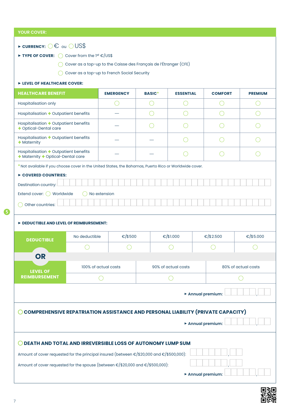| <b>YOUR COVER:</b>                                                                                                                                      |                      |                  |               |                     |                 |                     |  |  |  |
|---------------------------------------------------------------------------------------------------------------------------------------------------------|----------------------|------------------|---------------|---------------------|-----------------|---------------------|--|--|--|
| $\triangleright$ CURRENCY: $\bigcirc \in$ ou $\bigcirc$ US\$                                                                                            |                      |                  |               |                     |                 |                     |  |  |  |
| Cover from the $1^{st} \in /$ US\$<br>TYPE OF COVER:<br>(                                                                                               |                      |                  |               |                     |                 |                     |  |  |  |
| Cover as a top-up to the Caisse des Français de l'Étranger (CFE)                                                                                        |                      |                  |               |                     |                 |                     |  |  |  |
| Cover as a top-up to French Social Security                                                                                                             |                      |                  |               |                     |                 |                     |  |  |  |
| EVEL OF HEALTHCARE COVER:                                                                                                                               |                      |                  |               |                     |                 |                     |  |  |  |
| <b>HEALTHCARE BENEFIT</b>                                                                                                                               |                      | <b>EMERGENCY</b> | <b>BASIC*</b> | <b>ESSENTIAL</b>    | <b>COMFORT</b>  | <b>PREMIUM</b>      |  |  |  |
| <b>Hospitalisation only</b>                                                                                                                             |                      |                  |               |                     |                 |                     |  |  |  |
| Hospitalisation + Outpatient benefits                                                                                                                   |                      |                  |               |                     |                 |                     |  |  |  |
| Hospitalisation + Outpatient benefits<br>+ Optical-Dental care                                                                                          |                      |                  |               |                     |                 |                     |  |  |  |
| Hospitalisation + Outpatient benefits<br>$+$ Maternity                                                                                                  |                      |                  |               |                     |                 |                     |  |  |  |
| Hospitalisation + Outpatient benefits<br>+ Maternity + Optical-Dental care                                                                              |                      |                  |               |                     |                 |                     |  |  |  |
| * Not available if you choose cover in the United States, the Bahamas, Puerto Rico or Worldwide cover.                                                  |                      |                  |               |                     |                 |                     |  |  |  |
| COVERED COUNTRIES:                                                                                                                                      |                      |                  |               |                     |                 |                     |  |  |  |
| Destination country:                                                                                                                                    |                      |                  |               |                     |                 |                     |  |  |  |
| Extend cover: ( ) Worldwide                                                                                                                             | No extension         |                  |               |                     |                 |                     |  |  |  |
| Other countries:                                                                                                                                        |                      |                  |               |                     |                 |                     |  |  |  |
| DEDUCTIBLE AND LEVEL OF REIMBURSEMENT:                                                                                                                  |                      |                  |               |                     |                 |                     |  |  |  |
| <b>DEDUCTIBLE</b>                                                                                                                                       | No deductible        | €/\$500          |               | €/\$1.000           | €/\$2.500       | €/\$5.000           |  |  |  |
|                                                                                                                                                         |                      |                  |               |                     |                 |                     |  |  |  |
| <b>OR</b>                                                                                                                                               |                      |                  |               |                     |                 |                     |  |  |  |
| <b>LEVEL OF</b>                                                                                                                                         | 100% of actual costs |                  |               | 90% of actual costs |                 | 80% of actual costs |  |  |  |
| <b>REIMBURSEMENT</b>                                                                                                                                    |                      |                  |               |                     |                 |                     |  |  |  |
| Annual premium:                                                                                                                                         |                      |                  |               |                     |                 |                     |  |  |  |
| <b>COMPREHENSIVE REPATRIATION ASSISTANCE AND PERSONAL LIABILITY (PRIVATE CAPACITY)</b>                                                                  |                      |                  |               |                     |                 |                     |  |  |  |
| Annual premium:                                                                                                                                         |                      |                  |               |                     |                 |                     |  |  |  |
|                                                                                                                                                         |                      |                  |               |                     |                 |                     |  |  |  |
| DEATH AND TOTAL AND IRREVERSIBLE LOSS OF AUTONOMY LUMP SUM<br>Amount of cover requested for the principal insured (between €/\$20,000 and €/\$500,000): |                      |                  |               |                     |                 |                     |  |  |  |
| Amount of cover requested for the spouse (between €/\$20,000 and €/\$500,000):                                                                          |                      |                  |               |                     |                 |                     |  |  |  |
|                                                                                                                                                         |                      |                  |               |                     | Annual premium: |                     |  |  |  |
|                                                                                                                                                         |                      |                  |               |                     |                 |                     |  |  |  |

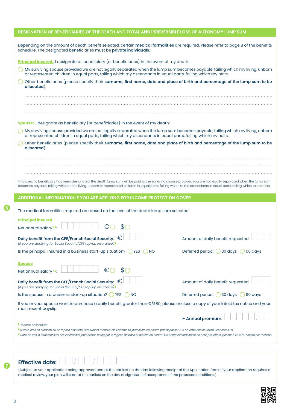| DESIGNATION OF BENEFICIARIES OF THE DEATH AND TOTAL AND IRREVERSIBLE LOSS OF AUTONOMY LUMP SUM                                                                                                                                                                                                                                                                                                                        |                                      |
|-----------------------------------------------------------------------------------------------------------------------------------------------------------------------------------------------------------------------------------------------------------------------------------------------------------------------------------------------------------------------------------------------------------------------|--------------------------------------|
| Depending on the amount of death benefit selected, certain medical formalities are required. Please refer to page 8 of the benefits<br>schedule. The designated beneficiaries must be private individuals.                                                                                                                                                                                                            |                                      |
| Principal insured: I designate as beneficiary (or beneficiaries) in the event of my death:                                                                                                                                                                                                                                                                                                                            |                                      |
| My surviving spouse provided we are not legally separated when the lump sum becomes payable, failing which my living, unborn<br>or represented children in equal parts, failing which my ascendants in equal parts, failing which my heirs.                                                                                                                                                                           |                                      |
| Other beneficiaries (please specify their surname, first name, date and place of birth and percentage of the lump sum to be<br>allocated):                                                                                                                                                                                                                                                                            |                                      |
|                                                                                                                                                                                                                                                                                                                                                                                                                       |                                      |
|                                                                                                                                                                                                                                                                                                                                                                                                                       |                                      |
|                                                                                                                                                                                                                                                                                                                                                                                                                       |                                      |
| <b>Spouse:</b> I designate as beneficiary (or beneficiaries) in the event of my death:                                                                                                                                                                                                                                                                                                                                |                                      |
| My surviving spouse provided we are not legally separated when the lump sum becomes payable, failing which my living, unborn<br>or represented children in equal parts, failing which my ascendants in equal parts, failing which my heirs.                                                                                                                                                                           |                                      |
| Other beneficiaries (please specify their surname, first name, date and place of birth and percentage of the lump sum to be<br>allocated):                                                                                                                                                                                                                                                                            |                                      |
|                                                                                                                                                                                                                                                                                                                                                                                                                       |                                      |
|                                                                                                                                                                                                                                                                                                                                                                                                                       |                                      |
|                                                                                                                                                                                                                                                                                                                                                                                                                       |                                      |
| If no specific beneficiary has been designated, the death lump sum will be paid to the surviving spouse provided you are not legally separated when the lump sum<br>becomes payable; failing which to the living, unborn or represented children in equal parts, failing which to the ascendants in equal parts, failing which to the heirs.                                                                          |                                      |
| ADDITIONAL INFORMATION IF YOU ARE APPLYING FOR INCOME PROTECTION COVER                                                                                                                                                                                                                                                                                                                                                |                                      |
|                                                                                                                                                                                                                                                                                                                                                                                                                       |                                      |
|                                                                                                                                                                                                                                                                                                                                                                                                                       |                                      |
| The medical formalities required are based on the level of the death lump sum selected.                                                                                                                                                                                                                                                                                                                               |                                      |
| <b>Principal insured</b>                                                                                                                                                                                                                                                                                                                                                                                              |                                      |
| €<br>$\mathcal{S}$<br>Net annual salary <sup>1,2</sup> :                                                                                                                                                                                                                                                                                                                                                              |                                      |
| Daily benefit from the CFE/French Social Security: $\,\in\!\mathbb{C}\,$<br>(if you are applying for Social Security/CFE top-up insurance)3                                                                                                                                                                                                                                                                           | Amount of daily benefit requested:   |
| Is the principal insured in a business start-up situation? $\bigcirc$ YES $\bigcirc$ NO                                                                                                                                                                                                                                                                                                                               | Deferred period: 30 days 0 60 days   |
|                                                                                                                                                                                                                                                                                                                                                                                                                       |                                      |
| <b>Spouse</b><br>$\mathbb{S}\bigcirc$<br>€<br>Net annual salary <sup>1,2</sup> :                                                                                                                                                                                                                                                                                                                                      |                                      |
| Daily benefit from the CFE/French Social Security: $~\in~$                                                                                                                                                                                                                                                                                                                                                            | Amount of daily benefit requested:   |
| (if you are applying for Social Security/CFE top-up insurance)3<br>Is the spouse in a business start-up situation? $\bigcirc$ YES<br>()NO                                                                                                                                                                                                                                                                             | Deferred period: ◯ 30 days ◯ 60 days |
| If you or your spouse want to purchase a daily benefit greater than €/\$80, please enclose a copy of your latest tax notice and your                                                                                                                                                                                                                                                                                  |                                      |
| most recent payslip.                                                                                                                                                                                                                                                                                                                                                                                                  |                                      |
|                                                                                                                                                                                                                                                                                                                                                                                                                       | Annual premium:                      |
| <sup>1</sup> Champs obligatoires<br><sup>2</sup> Si vous êtes en création ou en reprise d'activité, l'équivalent mensuel de l'indemnité journalière ne pourra pas dépasser 70% de votre ancien revenu net mensuel.<br>3 Dans ce cas le total mensuel des indemnités journalières perçu par le régime de base et au titre du contrat Ma Santé Internationale ne peut pas être supérieur à 100% du salaire net mensuel. |                                      |
|                                                                                                                                                                                                                                                                                                                                                                                                                       |                                      |
|                                                                                                                                                                                                                                                                                                                                                                                                                       |                                      |

(Subject to your application being approved and at the earliest on the day following receipt of the Application form. If your application requires a medical review, your plan will start at the earliest on the day of signature of acceptance of the proposed conditions.)



 $\boldsymbol{a}$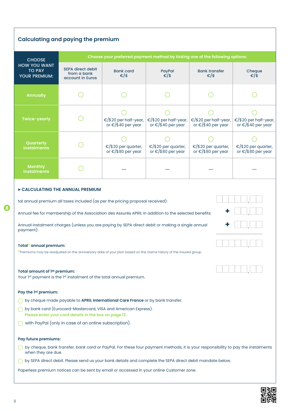| <b>Calculating and paying the premium</b>                                                                                                                                                                                                                                                                                                                                                                                                                                                                                                                                                                                                                                           |                                                             |                                                       |                                                                               |                                                       |                                                       |  |  |  |  |
|-------------------------------------------------------------------------------------------------------------------------------------------------------------------------------------------------------------------------------------------------------------------------------------------------------------------------------------------------------------------------------------------------------------------------------------------------------------------------------------------------------------------------------------------------------------------------------------------------------------------------------------------------------------------------------------|-------------------------------------------------------------|-------------------------------------------------------|-------------------------------------------------------------------------------|-------------------------------------------------------|-------------------------------------------------------|--|--|--|--|
| <b>CHOOSE</b>                                                                                                                                                                                                                                                                                                                                                                                                                                                                                                                                                                                                                                                                       |                                                             |                                                       | Choose your preferred payment method by ticking one of the following options: |                                                       |                                                       |  |  |  |  |
| <b>HOW YOU WANT</b><br><b>TO PAY</b><br><b>YOUR PREMIUM:</b>                                                                                                                                                                                                                                                                                                                                                                                                                                                                                                                                                                                                                        | <b>SEPA direct debit</b><br>from a bank<br>account in Euros | <b>Bank card</b><br>€/\$                              | PayPal<br>$\varepsilon$ /\$                                                   | <b>Bank transfer</b><br>€/\$                          | Cheque<br>€/\$                                        |  |  |  |  |
| <b>Annually</b>                                                                                                                                                                                                                                                                                                                                                                                                                                                                                                                                                                                                                                                                     |                                                             |                                                       |                                                                               |                                                       |                                                       |  |  |  |  |
| Twice-yearly                                                                                                                                                                                                                                                                                                                                                                                                                                                                                                                                                                                                                                                                        |                                                             | €/\$20 per half-year,<br>or $\epsilon$ /\$40 per year | €/\$20 per half-year,<br>or $\epsilon$ /\$40 per year                         | €/\$20 per half-year,<br>or $\epsilon$ /\$40 per year | €/\$20 per half-year,<br>or $\epsilon$ /\$40 per year |  |  |  |  |
| Quarterly<br><b>instalments</b>                                                                                                                                                                                                                                                                                                                                                                                                                                                                                                                                                                                                                                                     |                                                             | €/\$20 per quarter,<br>or $\epsilon$ /\$80 per year   | €/\$20 per quarter,<br>or $\epsilon$ /\$80 per year                           | €/\$20 per quarter,<br>or $\epsilon$ /\$80 per year   | €/\$20 per quarter,<br>or $\epsilon$ /\$80 per year   |  |  |  |  |
| <b>Monthly</b><br><b>instalments</b>                                                                                                                                                                                                                                                                                                                                                                                                                                                                                                                                                                                                                                                |                                                             |                                                       |                                                                               |                                                       |                                                       |  |  |  |  |
| CALCULATING THE ANNUAL PREMIUM<br>tal annual premium all taxes included (as per the pricing proposal received):<br>Annual fee for membership of the Association des Assurés APRIL in addition to the selected benefits:<br>Annual instalment charges (unless you are paying by SEPA direct debit or making a single annual<br>payment):<br>Total* annual premium:<br>*Premiums may be readjusted on the anniversary date of your plan based on the claims history of the insured group.<br>Total amount of 1st premium:<br>Your 1st payment is the 1st instalment of the total annual premium.                                                                                      |                                                             |                                                       |                                                                               |                                                       |                                                       |  |  |  |  |
| Pay the 1st premium:<br>by cheque made payable to APRIL International Care France or by bank transfer.<br>by bank card (Eurocard-Mastercard, VISA and American Express).<br>Please enter your card details in the box on page 12.<br>with PayPal (only in case of an online subscription).<br>Pay future premiums:<br>by cheque, bank transfer, bank card or PayPal. For these four payment methods, it is your responsibility to pay the instalments<br>when they are due.<br>by SEPA direct debit. Please send us your bank details and complete the SEPA direct debit mandate below.<br>Paperless premium notices can be sent by email or accessed in your online Customer zone. |                                                             |                                                       |                                                                               |                                                       |                                                       |  |  |  |  |

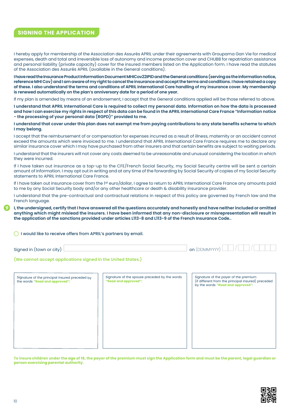## **SIGNING THE APPLICATION**

I hereby apply for membership of the Association des Assurés APRIL under their agreements with Groupama Gan Vie for medical expenses, death and total and irreversible loss of autonomy and income protection cover and CHUBB for repatriation assistance and personal liability (private capacity) cover for the insured members listed on the Application form. I have read the statutes of the Association des Assurés APRIL (available in the General conditions).

**I have read the Insurance Product Information Document MHICov22IPID and the General conditions (serving as the information notice, reference MHI Cov) and I am aware of my right to cancel the insurance and accept the terms and conditions. I have retained a copy of these. I also understand the terms and conditions of APRIL International Care handling of my insurance cover. My membership is renewed automatically on the plan's anniversary date for a period of one year.**

If my plan is amended by means of an endorsement, I accept that the General conditions applied will be those referred to above.

**I understand that APRIL International Care is required to collect my personal data. Information on how the data is processed and how I can exercise my rights in respect of this data can be found in the APRIL International Care France "Information notice - the processing of your personal data (RGPD)" provided to me.**

**I understand that cover under this plan does not exempt me from paying contributions to any state benefits scheme to which I may belong.**

I accept that the reimbursement of or compensation for expenses incurred as a result of illness, maternity or an accident cannot exceed the amounts which were invoiced to me. I understand that APRIL International Care France requires me to declare any similar insurance cover which I may have purchased from other insurers and that certain benefits are subject to waiting periods.

I understand that the insurers will not cover any costs deemed to be unreasonable and unusual considering the location in which they were incurred.

If I have taken out insurance as a top-up to the CFE/French Social Security, my Social Security centre will be sent a certain amount of information. I may opt out in writing and at any time of the forwarding by Social Security of copies of my Social Security statements to APRIL International Care France.

If I have taken out insurance cover from the 1st euro/dollar, I agree to return to APRIL International Care France any amounts paid to me by any Social Security body and/or any other healthcare or death & disability insurance provider.

I understand that the pre-contractual and contractual relations in respect of this policy are governed by French law and the French language.

**I, the undersigned, certify that I have answered all the questions accurately and honestly and have neither included or omitted anything which might mislead the insurers. I have been informed that any non-disclosure or misrepresentation will result in the application of the sanctions provided under articles L113-8 and L113-9 of the French Insurance Code..**

 $\bigcirc$  I would like to receive offers from APRIL's partners by email.

| Signed in (town or city) | , <b>on</b> (DDMMYYYY) |  |  |  |
|--------------------------|------------------------|--|--|--|
|                          |                        |  |  |  |

#### **(We cannot accept applications signed in the United States.)**

| Signature of the principal insured preceded by | Signature of the spouse preceded by the words | Signature of the payer of the premium<br>(if different from the principal insured) preceded |
|------------------------------------------------|-----------------------------------------------|---------------------------------------------------------------------------------------------|
| the words "Read and approved":                 | "Read and approved":                          | by the words "Read and approved":                                                           |
|                                                |                                               |                                                                                             |

**To insure children under the age of 18, the payer of the premium must sign the Application form and must be the parent, legal guardian or person exercising parental authority.**

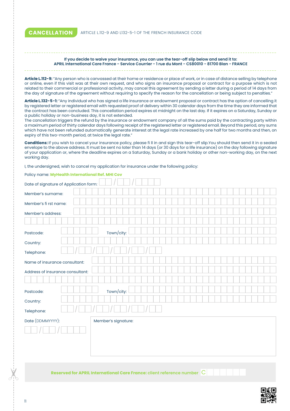**CANCELLATION** ARTICLE L.112-9 AND L132-5-1 OF THE FRENCH INSURANCE CODE

#### **If you decide to waive your insurance, you can use the tear-off slip below and send it to: APRIL International Care France - Service Courrier - 1 rue du Mont - CS80010 - 81700 Blan - FRANCE**

**Article L.112-9:** "Any person who is canvassed at their home or residence or place of work, or in case of distance selling by telephone or online, even if this visit was at their own request, and who signs an insurance proposal or contract for a purpose which is not related to their commercial or professional activity, may cancel this agreement by sending a letter during a period of 14 days from the day of signature of the agreement without requiring to specify the reason for the cancellation or being subject to penalties."

**Article L.132-5-1:** "Any individual who has signed a life insurance or endowment proposal or contract has the option of cancelling it by registered letter or registered email with requested proof of delivery within 30 calendar days from the time they are informed that the contract has been concluded. This cancellation period expires at midnight on the last day. If it expires on a Saturday, Sunday or a public holiday or non-business day, it is not extended.

The cancellation triggers the refund by the insurance or endowment company of all the sums paid by the contracting party within a maximum period of thirty calendar days following receipt of the registered letter or registered email. Beyond this period, any sums which have not been refunded automatically generate interest at the legal rate increased by one half for two months and then, on expiry of this two-month period, at twice the legal rate."

**Conditions:** If you wish to cancel your insurance policy, please fi ll in and sign this tear-off slip.You should then send it in a sealed envelope to the above address. It must be sent no later than 14 days (or 30 days for a life insurance) on the day following signature of your application or, where the deadline expires on a Saturday, Sunday or a bank holiday or other non-working day, on the next working day.

I, the undersigned, wish to cancel my application for insurance under the following policy:

Policy name: **MyHealth International Ref. MHI Cov**

| POIICY NOTTIE. MY REGIUM INTERNATIONAL REI, MINI COV |  |                     |  |  |  |  |  |  |  |  |
|------------------------------------------------------|--|---------------------|--|--|--|--|--|--|--|--|
| Date of signature of Application form:               |  |                     |  |  |  |  |  |  |  |  |
| Member's surname:                                    |  |                     |  |  |  |  |  |  |  |  |
| Member's fi rst name:                                |  |                     |  |  |  |  |  |  |  |  |
| Member's address:                                    |  |                     |  |  |  |  |  |  |  |  |
|                                                      |  |                     |  |  |  |  |  |  |  |  |
| Postcode:                                            |  | Town/city:          |  |  |  |  |  |  |  |  |
| Country:                                             |  |                     |  |  |  |  |  |  |  |  |
| Telephone:                                           |  |                     |  |  |  |  |  |  |  |  |
| Name of insurance consultant:                        |  |                     |  |  |  |  |  |  |  |  |
| Address of insurance consultant:                     |  |                     |  |  |  |  |  |  |  |  |
|                                                      |  |                     |  |  |  |  |  |  |  |  |
| Postcode:                                            |  | Town/city:          |  |  |  |  |  |  |  |  |
| Country:                                             |  |                     |  |  |  |  |  |  |  |  |
| Telephone:                                           |  |                     |  |  |  |  |  |  |  |  |
| Date (DDMMYYYY):                                     |  | Member's signature: |  |  |  |  |  |  |  |  |
|                                                      |  |                     |  |  |  |  |  |  |  |  |
|                                                      |  |                     |  |  |  |  |  |  |  |  |
|                                                      |  |                     |  |  |  |  |  |  |  |  |
|                                                      |  |                     |  |  |  |  |  |  |  |  |

**Reserved for APRIL International Care France: client reference number** C

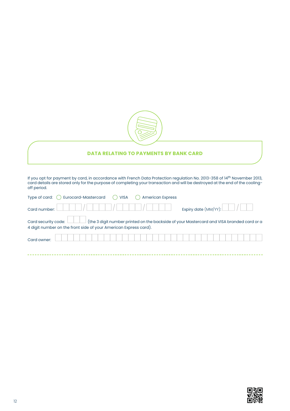

## **DATA RELATING TO PAYMENTS BY BANK CARD**

If you opt for payment by card, in accordance with French Data Protection regulation No. 2013-358 of 14th November 2013, card details are stored only for the purpose of completing your transaction and will be destroyed at the end of the coolingoff period.

| Type of card: $\bigcirc$ Eurocard-Mastercard                                                                  | <b>VISA</b><br>$(\Box)$ | <b>American Express</b> |                                                                            |  |
|---------------------------------------------------------------------------------------------------------------|-------------------------|-------------------------|----------------------------------------------------------------------------|--|
| Card number: $\lfloor$<br>$\mathbb{R}^n$                                                                      | $\sim$                  |                         | Expiry date (MM/YY): $\boxed{\phantom{\big }}$ / $\boxed{\phantom{\big }}$ |  |
| Card security code: (the 3 digit number printed on the backside of your Mastercard and VISA branded card or a |                         |                         |                                                                            |  |
| 4 digit number on the front side of your American Express card).                                              |                         |                         |                                                                            |  |